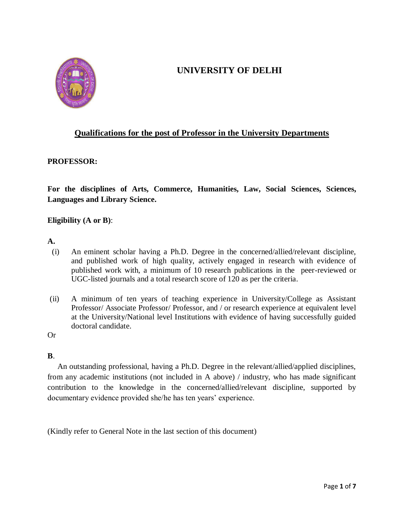

# **UNIVERSITY OF DELHI**

# **Qualifications for the post of Professor in the University Departments**

#### **PROFESSOR:**

**For the disciplines of Arts, Commerce, Humanities, Law, Social Sciences, Sciences, Languages and Library Science.**

# **Eligibility (A or B)**:

#### **A.**

- (i) An eminent scholar having a Ph.D. Degree in the concerned/allied/relevant discipline, and published work of high quality, actively engaged in research with evidence of published work with, a minimum of 10 research publications in the peer-reviewed or UGC-listed journals and a total research score of 120 as per the criteria.
- (ii) A minimum of ten years of teaching experience in University/College as Assistant Professor/ Associate Professor/ Professor, and / or research experience at equivalent level at the University/National level Institutions with evidence of having successfully guided doctoral candidate.

#### Or

#### **B**.

 An outstanding professional, having a Ph.D. Degree in the relevant/allied/applied disciplines, from any academic institutions (not included in A above) / industry, who has made significant contribution to the knowledge in the concerned/allied/relevant discipline, supported by documentary evidence provided she/he has ten years' experience.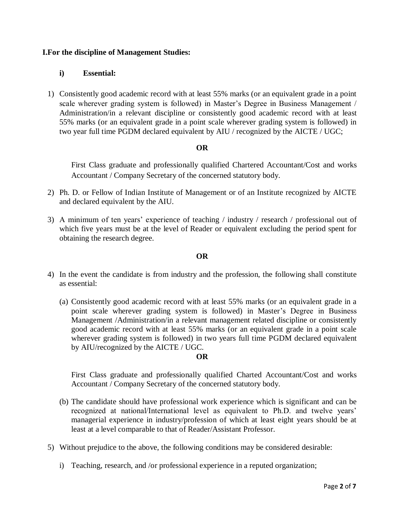# **I.For the discipline of Management Studies:**

## **i) Essential:**

1) Consistently good academic record with at least 55% marks (or an equivalent grade in a point scale wherever grading system is followed) in Master's Degree in Business Management / Administration/in a relevant discipline or consistently good academic record with at least 55% marks (or an equivalent grade in a point scale wherever grading system is followed) in two year full time PGDM declared equivalent by AIU / recognized by the AICTE / UGC;

#### **OR**

First Class graduate and professionally qualified Chartered Accountant/Cost and works Accountant / Company Secretary of the concerned statutory body.

- 2) Ph. D. or Fellow of Indian Institute of Management or of an Institute recognized by AICTE and declared equivalent by the AIU.
- 3) A minimum of ten years' experience of teaching / industry / research / professional out of which five years must be at the level of Reader or equivalent excluding the period spent for obtaining the research degree.

#### **OR**

- 4) In the event the candidate is from industry and the profession, the following shall constitute as essential:
	- (a) Consistently good academic record with at least 55% marks (or an equivalent grade in a point scale wherever grading system is followed) in Master's Degree in Business Management /Administration/in a relevant management related discipline or consistently good academic record with at least 55% marks (or an equivalent grade in a point scale wherever grading system is followed) in two years full time PGDM declared equivalent by AIU/recognized by the AICTE / UGC.

#### **OR**

First Class graduate and professionally qualified Charted Accountant/Cost and works Accountant / Company Secretary of the concerned statutory body.

- (b) The candidate should have professional work experience which is significant and can be recognized at national/International level as equivalent to Ph.D. and twelve years' managerial experience in industry/profession of which at least eight years should be at least at a level comparable to that of Reader/Assistant Professor.
- 5) Without prejudice to the above, the following conditions may be considered desirable:
	- i) Teaching, research, and /or professional experience in a reputed organization;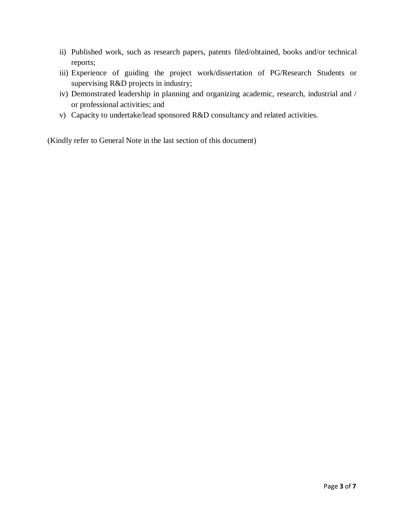- ii) Published work, such as research papers, patents filed/obtained, books and/or technical reports;
- iii) Experience of guiding the project work/dissertation of PG/Research Students or supervising R&D projects in industry;
- iv) Demonstrated leadership in planning and organizing academic, research, industrial and / or professional activities; and
- v) Capacity to undertake/lead sponsored R&D consultancy and related activities.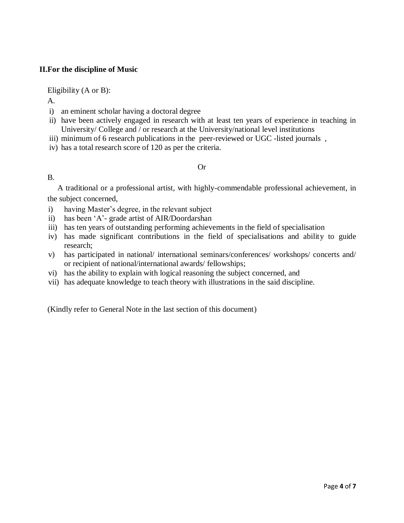# **II.For the discipline of Music**

Eligibility (A or B):

A.

- i) an eminent scholar having a doctoral degree
- ii) have been actively engaged in research with at least ten years of experience in teaching in University/ College and / or research at the University/national level institutions
- iii) minimum of 6 research publications in the peer-reviewed or UGC -listed journals,
- iv) has a total research score of 120 as per the criteria.

# Or

# B.

 A traditional or a professional artist, with highly-commendable professional achievement, in the subject concerned,

- i) having Master's degree, in the relevant subject
- ii) has been 'A'- grade artist of AIR/Doordarshan
- iii) has ten years of outstanding performing achievements in the field of specialisation
- iv) has made significant contributions in the field of specialisations and ability to guide research;
- v) has participated in national/ international seminars/conferences/ workshops/ concerts and/ or recipient of national/international awards/ fellowships;
- vi) has the ability to explain with logical reasoning the subject concerned, and
- vii) has adequate knowledge to teach theory with illustrations in the said discipline.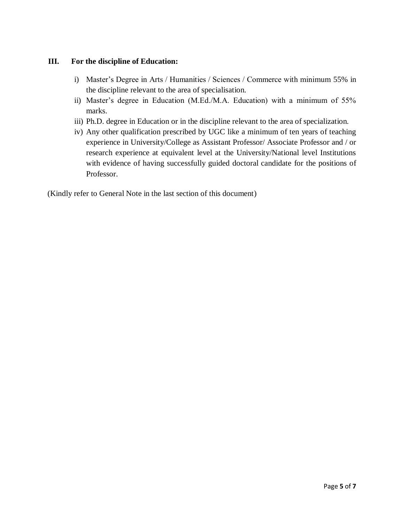# **III. For the discipline of Education:**

- i) Master's Degree in Arts / Humanities / Sciences / Commerce with minimum 55% in the discipline relevant to the area of specialisation.
- ii) Master's degree in Education (M.Ed./M.A. Education) with a minimum of 55% marks.
- iii) Ph.D. degree in Education or in the discipline relevant to the area of specialization.
- iv) Any other qualification prescribed by UGC like a minimum of ten years of teaching experience in University/College as Assistant Professor/ Associate Professor and / or research experience at equivalent level at the University/National level Institutions with evidence of having successfully guided doctoral candidate for the positions of Professor.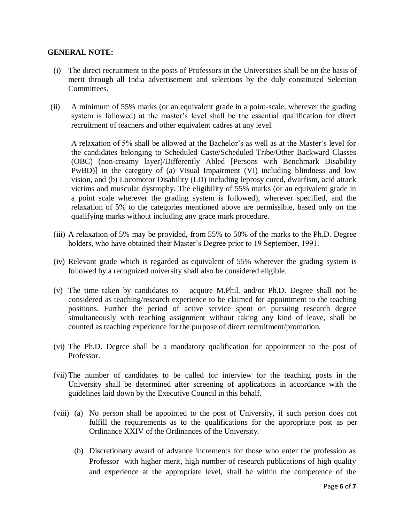# **GENERAL NOTE:**

- (i) The direct recruitment to the posts of Professors in the Universities shall be on the basis of merit through all India advertisement and selections by the duly constituted Selection Committees.
- (ii) A minimum of 55% marks (or an equivalent grade in a point-scale, wherever the grading system is followed) at the master's level shall be the essential qualification for direct recruitment of teachers and other equivalent cadres at any level.

A relaxation of 5% shall be allowed at the Bachelor's as well as at the Master's level for the candidates belonging to Scheduled Caste/Scheduled Tribe/Other Backward Classes (OBC) (non-creamy layer)/Differently Abled [Persons with Benchmark Disability PwBD)] in the category of (a) Visual Impairment (VI) including blindness and low vision, and (b) Locomotor Disability (LD) including leprosy cured, dwarfism, acid attack victims and muscular dystrophy. The eligibility of 55% marks (or an equivalent grade in a point scale wherever the grading system is followed), wherever specified, and the relaxation of 5% to the categories mentioned above are permissible, based only on the qualifying marks without including any grace mark procedure.

- (iii) A relaxation of 5% may be provided, from 55% to 50% of the marks to the Ph.D. Degree holders, who have obtained their Master's Degree prior to 19 September, 1991.
- (iv) Relevant grade which is regarded as equivalent of 55% wherever the grading system is followed by a recognized university shall also be considered eligible.
- (v) The time taken by candidates to acquire M.Phil. and/or Ph.D. Degree shall not be considered as teaching/research experience to be claimed for appointment to the teaching positions. Further the period of active service spent on pursuing research degree simultaneously with teaching assignment without taking any kind of leave, shall be counted as teaching experience for the purpose of direct recruitment/promotion.
- (vi) The Ph.D. Degree shall be a mandatory qualification for appointment to the post of Professor.
- (vii) The number of candidates to be called for interview for the teaching posts in the University shall be determined after screening of applications in accordance with the guidelines laid down by the Executive Council in this behalf.
- (viii) (a) No person shall be appointed to the post of University, if such person does not fulfill the requirements as to the qualifications for the appropriate post as per Ordinance XXIV of the Ordinances of the University.
	- (b) Discretionary award of advance increments for those who enter the profession as Professor with higher merit, high number of research publications of high quality and experience at the appropriate level, shall be within the competence of the